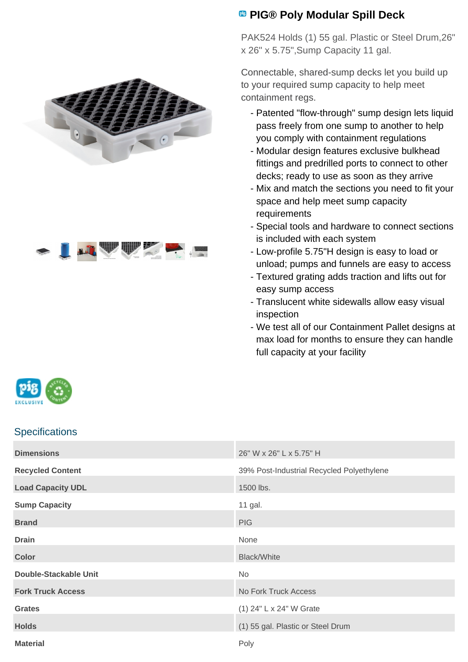



## **PIG® Poly Modular Spill Deck**

PAK524 Holds (1) 55 gal. Plastic or Steel Drum,26" x 26" x 5.75",Sump Capacity 11 gal.

Connectable, shared-sump decks let you build up to your required sump capacity to help meet containment regs.

- Patented "flow-through" sump design lets liquid pass freely from one sump to another to help you comply with containment regulations
- Modular design features exclusive bulkhead fittings and predrilled ports to connect to other decks; ready to use as soon as they arrive
- Mix and match the sections you need to fit your space and help meet sump capacity requirements
- Special tools and hardware to connect sections is included with each system
- Low-profile 5.75"H design is easy to load or unload; pumps and funnels are easy to access
- Textured grating adds traction and lifts out for easy sump access
- Translucent white sidewalls allow easy visual inspection
- We test all of our Containment Pallet designs at max load for months to ensure they can handle full capacity at your facility

| EXCLUSIVE |  |
|-----------|--|

## **Specifications**

| <b>Dimensions</b>            | 26" W x 26" L x 5.75" H                   |
|------------------------------|-------------------------------------------|
| <b>Recycled Content</b>      | 39% Post-Industrial Recycled Polyethylene |
| <b>Load Capacity UDL</b>     | 1500 lbs.                                 |
| <b>Sump Capacity</b>         | 11 gal.                                   |
| <b>Brand</b>                 | <b>PIG</b>                                |
| <b>Drain</b>                 | None                                      |
| <b>Color</b>                 | <b>Black/White</b>                        |
| <b>Double-Stackable Unit</b> | No                                        |
| <b>Fork Truck Access</b>     | No Fork Truck Access                      |
| <b>Grates</b>                | (1) 24" L x 24" W Grate                   |
| <b>Holds</b>                 | (1) 55 gal. Plastic or Steel Drum         |
| <b>Material</b>              | Poly                                      |